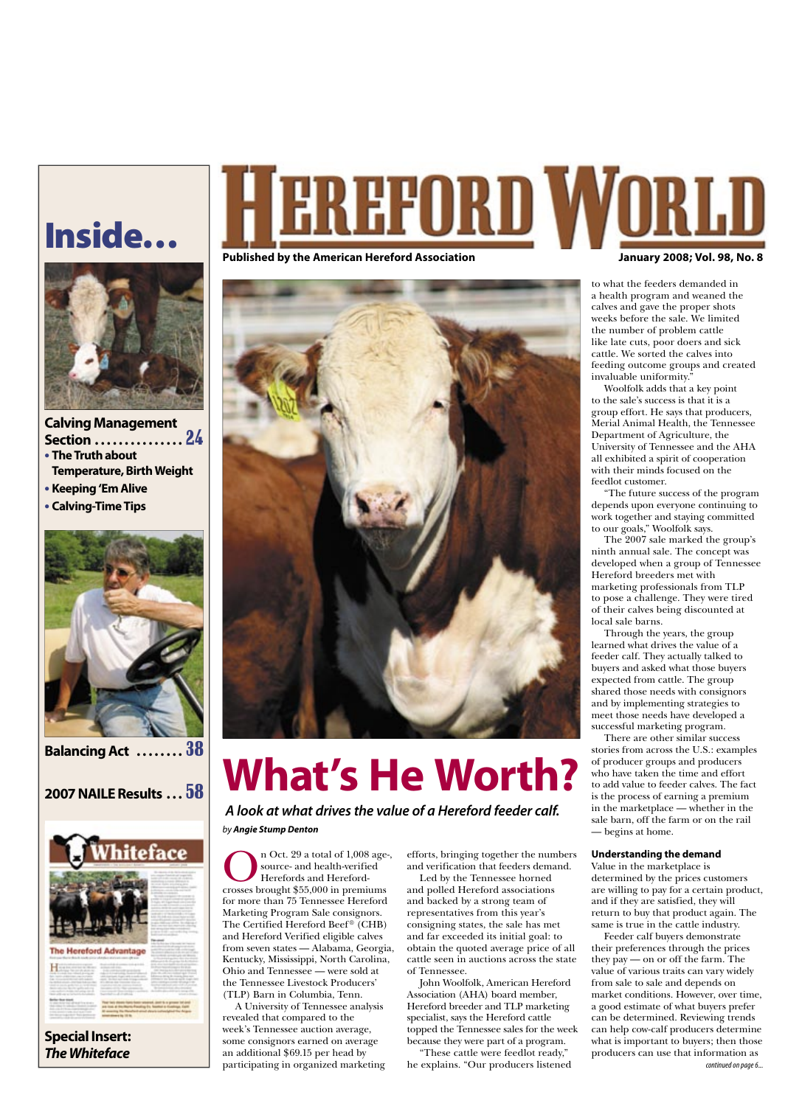## Inside…



**Calving Management Section . . . . . . . . . . . . . . .** 24 **• The Truth about Temperature, Birth Weight**

**• Keeping 'Em Alive**

**• Calving-Time Tips**



## **Balancing Act . . . . . . . .** 38

## **2007 NAILE Results . . .** 58



**Special Insert: The Whiteface**

# REFORD WOR

#### Published by the American Hereford Association **January 2008; Vol. 98, No. 8** Published by the American Hereford Association



# **What's He Worth?**

 **A look at what drives the value of a Hereford feeder calf.** by **Angie Stump Denton**

**OREC 29 a total of 1,008 age-,<br>
Source- and health-verified<br>
Herefords and Hereford-<br>
crosses brought \$55,000 in premiums** source- and health-verified Herefords and Herefordfor more than 75 Tennessee Hereford Marketing Program Sale consignors. The Certified Hereford Beef® (CHB) and Hereford Verified eligible calves from seven states — Alabama, Georgia, Kentucky, Mississippi, North Carolina, Ohio and Tennessee — were sold at the Tennessee Livestock Producers' (TLP) Barn in Columbia, Tenn.

A University of Tennessee analysis revealed that compared to the week's Tennessee auction average, some consignors earned on average an additional \$69.15 per head by participating in organized marketing efforts, bringing together the numbers and verification that feeders demand.

Led by the Tennessee horned and polled Hereford associations and backed by a strong team of representatives from this year's consigning states, the sale has met and far exceeded its initial goal: to obtain the quoted average price of all cattle seen in auctions across the state of Tennessee.

John Woolfolk, American Hereford Association (AHA) board member, Hereford breeder and TLP marketing specialist, says the Hereford cattle topped the Tennessee sales for the week because they were part of a program.

"These cattle were feedlot ready," he explains. "Our producers listened

to what the feeders demanded in a health program and weaned the calves and gave the proper shots weeks before the sale. We limited the number of problem cattle like late cuts, poor doers and sick cattle. We sorted the calves into feeding outcome groups and created invaluable uniformity."

Woolfolk adds that a key point to the sale's success is that it is a group effort. He says that producers, Merial Animal Health, the Tennessee Department of Agriculture, the University of Tennessee and the AHA all exhibited a spirit of cooperation with their minds focused on the feedlot customer.

"The future success of the program depends upon everyone continuing to work together and staying committed to our goals," Woolfolk says.

The 2007 sale marked the group's ninth annual sale. The concept was developed when a group of Tennessee Hereford breeders met with marketing professionals from TLP to pose a challenge. They were tired of their calves being discounted at local sale barns.

Through the years, the group learned what drives the value of a feeder calf. They actually talked to buyers and asked what those buyers expected from cattle. The group shared those needs with consignors and by implementing strategies to meet those needs have developed a successful marketing program.

There are other similar success stories from across the U.S.: examples of producer groups and producers who have taken the time and effort to add value to feeder calves. The fact is the process of earning a premium in the marketplace — whether in the sale barn, off the farm or on the rail — begins at home.

#### **Understanding the demand**

Value in the marketplace is determined by the prices customers are willing to pay for a certain product, and if they are satisfied, they will return to buy that product again. The same is true in the cattle industry.

Feeder calf buyers demonstrate their preferences through the prices they pay — on or off the farm. The value of various traits can vary widely from sale to sale and depends on market conditions. However, over time, a good estimate of what buyers prefer can be determined. Reviewing trends can help cow-calf producers determine what is important to buyers; then those producers can use that information as continued on page 6...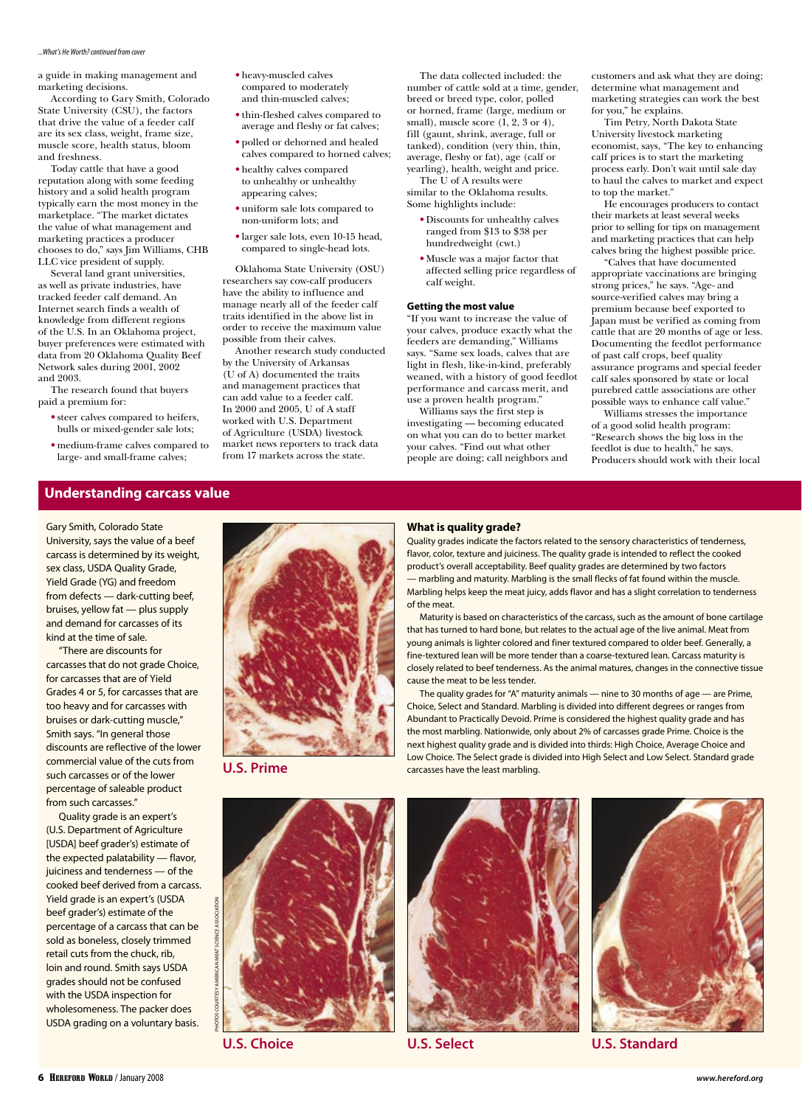#### ...What's He Worth? continued from cover

a guide in making management and marketing decisions.

According to Gary Smith, Colorado State University (CSU), the factors that drive the value of a feeder calf are its sex class, weight, frame size, muscle score, health status, bloom and freshness.

Today cattle that have a good reputation along with some feeding history and a solid health program typically earn the most money in the marketplace. "The market dictates the value of what management and marketing practices a producer chooses to do," says Jim Williams, CHB LLC vice president of supply.

Several land grant universities, as well as private industries, have tracked feeder calf demand. An Internet search finds a wealth of knowledge from different regions of the U.S. In an Oklahoma project, buyer preferences were estimated with data from 20 Oklahoma Quality Beef Network sales during 2001, 2002 and 2003.

The research found that buyers paid a premium for:

- steer calves compared to heifers, bulls or mixed-gender sale lots;
- medium-frame calves compared to large- and small-frame calves;
- heavy-muscled calves compared to moderately and thin-muscled calves;
- thin-fleshed calves compared to average and fleshy or fat calves;
- polled or dehorned and healed calves compared to horned calves;
- healthy calves compared to unhealthy or unhealthy appearing calves;
- uniform sale lots compared to non-uniform lots; and
- larger sale lots, even 10-15 head, compared to single-head lots.

Oklahoma State University (OSU) researchers say cow-calf producers have the ability to influence and manage nearly all of the feeder calf traits identified in the above list in order to receive the maximum value possible from their calves.

Another research study conducted by the University of Arkansas (U of A) documented the traits and management practices that can add value to a feeder calf. In 2000 and 2005, U of A staff worked with U.S. Department of Agriculture (USDA) livestock market news reporters to track data from 17 markets across the state.

The data collected included: the number of cattle sold at a time, gender, breed or breed type, color, polled or horned, frame (large, medium or small), muscle score  $(1, 2, 3 \text{ or } 4)$ , fill (gaunt, shrink, average, full or tanked), condition (very thin, thin, average, fleshy or fat), age (calf or yearling), health, weight and price.

The U of A results were similar to the Oklahoma results. Some highlights include:

- Discounts for unhealthy calves ranged from \$13 to \$38 per hundredweight (cwt.)
- Muscle was a major factor that affected selling price regardless of calf weight.

#### **Getting the most value**

"If you want to increase the value of your calves, produce exactly what the feeders are demanding," Williams says. "Same sex loads, calves that are light in flesh, like-in-kind, preferably weaned, with a history of good feedlot performance and carcass merit, and use a proven health program."

Williams says the first step is investigating — becoming educated on what you can do to better market your calves. "Find out what other people are doing; call neighbors and

customers and ask what they are doing; determine what management and marketing strategies can work the best for you," he explains.

Tim Petry, North Dakota State University livestock marketing economist, says, "The key to enhancing calf prices is to start the marketing process early. Don't wait until sale day to haul the calves to market and expect to top the market."

He encourages producers to contact their markets at least several weeks prior to selling for tips on management and marketing practices that can help calves bring the highest possible price.

"Calves that have documented appropriate vaccinations are bringing strong prices," he says. "Age- and source-verified calves may bring a premium because beef exported to Japan must be verified as coming from cattle that are 20 months of age or less. Documenting the feedlot performance of past calf crops, beef quality assurance programs and special feeder calf sales sponsored by state or local purebred cattle associations are other possible ways to enhance calf value."

Williams stresses the importance of a good solid health program: "Research shows the big loss in the feedlot is due to health," he says. Producers should work with their local

### **Understanding carcass value**

Gary Smith, Colorado State University, says the value of a beef carcass is determined by its weight, sex class, USDA Quality Grade, Yield Grade (YG) and freedom from defects — dark-cutting beef, bruises, yellow fat — plus supply and demand for carcasses of its kind at the time of sale.

"There are discounts for carcasses that do not grade Choice, for carcasses that are of Yield Grades 4 or 5, for carcasses that are too heavy and for carcasses with bruises or dark-cutting muscle," Smith says. "In general those discounts are reflective of the lower commercial value of the cuts from such carcasses or of the lower percentage of saleable product from such carcasses."

Quality grade is an expert's (U.S. Department of Agriculture [USDA] beef grader's) estimate of the expected palatability — flavor, juiciness and tenderness — of the cooked beef derived from a carcass. Yield grade is an expert's (USDA beef grader's) estimate of the percentage of a carcass that can be sold as boneless, closely trimmed retail cuts from the chuck, rib, loin and round. Smith says USDA grades should not be confused with the USDA inspection for wholesomeness. The packer does USDA grading on a voluntary basis.

**U.S. Prime**



PHOTOS COURTESY AMERICAN MEAT SCIENCE ASSOCIATION



#### **What is quality grade?**

Quality grades indicate the factors related to the sensory characteristics of tenderness, flavor, color, texture and juiciness. The quality grade is intended to reflect the cooked product's overall acceptability. Beef quality grades are determined by two factors — marbling and maturity. Marbling is the small flecks of fat found within the muscle. Marbling helps keep the meat juicy, adds flavor and has a slight correlation to tenderness

Maturity is based on characteristics of the carcass, such as the amount of bone cartilage that has turned to hard bone, but relates to the actual age of the live animal. Meat from young animals is lighter colored and finer textured compared to older beef. Generally, a fine-textured lean will be more tender than a coarse-textured lean. Carcass maturity is closely related to beef tenderness. As the animal matures, changes in the connective tissue cause the meat to be less tender.

The quality grades for "A" maturity animals — nine to 30 months of age — are Prime, Choice, Select and Standard. Marbling is divided into different degrees or ranges from Abundant to Practically Devoid. Prime is considered the highest quality grade and has the most marbling. Nationwide, only about 2% of carcasses grade Prime. Choice is the next highest quality grade and is divided into thirds: High Choice, Average Choice and Low Choice. The Select grade is divided into High Select and Low Select. Standard grade carcasses have the least marbling.

**U.S. Choice U.S. Select U.S. Standard**

# of the meat.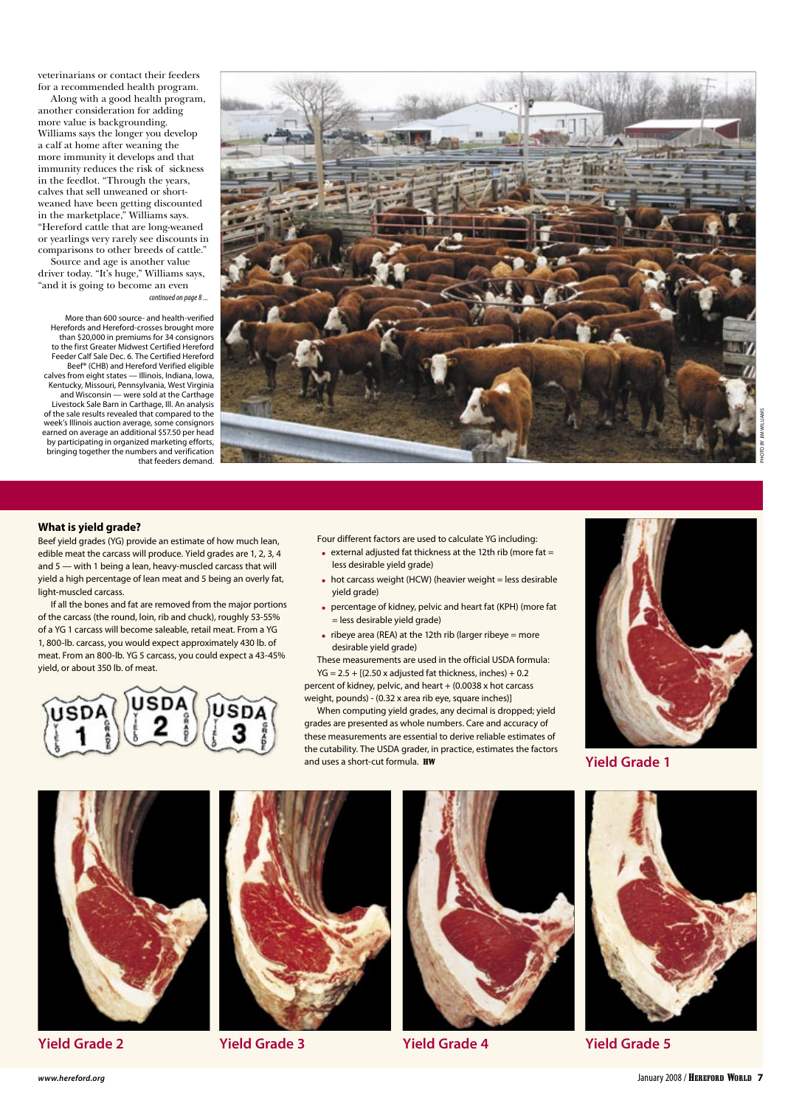veterinarians or contact their feeders for a recommended health program.

Along with a good health program, another consideration for adding more value is backgrounding. Williams says the longer you develop a calf at home after weaning the more immunity it develops and that immunity reduces the risk of sickness in the feedlot. "Through the years, calves that sell unweaned or shortweaned have been getting discounted in the marketplace," Williams says. "Hereford cattle that are long-weaned or yearlings very rarely see discounts in comparisons to other breeds of cattle."

Source and age is another value driver today. "It's huge," Williams says, "and it is going to become an even continued on page 8 ...

More than 600 source- and health-verified Herefords and Hereford-crosses brought more than \$20,000 in premiums for 34 consignors to the first Greater Midwest Certified Hereford Feeder Calf Sale Dec. 6. The Certified Hereford Beef® (CHB) and Hereford Verified eligible calves from eight states — Illinois, Indiana, Iowa, Kentucky, Missouri, Pennsylvania, West Virginia and Wisconsin — were sold at the Carthage Livestock Sale Barn in Carthage, Ill. An analysis of the sale results revealed that compared to the week's Illinois auction average, some consignors earned on average an additional \$57.50 per head by participating in organized marketing efforts, bringing together the numbers and verification that feeders demand.



#### **What is yield grade?**

Beef yield grades (YG) provide an estimate of how much lean, edible meat the carcass will produce. Yield grades are 1, 2, 3, 4 and 5 — with 1 being a lean, heavy-muscled carcass that will yield a high percentage of lean meat and 5 being an overly fat, light-muscled carcass.

If all the bones and fat are removed from the major portions of the carcass (the round, loin, rib and chuck), roughly 53-55% of a YG 1 carcass will become saleable, retail meat. From a YG 1, 800-lb. carcass, you would expect approximately 430 lb. of meat. From an 800-lb. YG 5 carcass, you could expect a 43-45% yield, or about 350 lb. of meat.



Four different factors are used to calculate YG including:

- $\epsilon$  external adjusted fat thickness at the 12th rib (more fat = less desirable yield grade)
- $\bullet$  hot carcass weight (HCW) (heavier weight = less desirable yield grade)
- percentage of kidney, pelvic and heart fat (KPH) (more fat = less desirable yield grade)
- $\bullet$  ribeye area (REA) at the 12th rib (larger ribeye = more desirable yield grade)

These measurements are used in the official USDA formula:  $YG = 2.5 + [(2.50 \times adjusted fat thickness, inches) + 0.2]$ 

percent of kidney, pelvic, and heart  $+$  (0.0038 x hot carcass weight, pounds) - (0.32 x area rib eye, square inches)]

When computing yield grades, any decimal is dropped; yield grades are presented as whole numbers. Care and accuracy of these measurements are essential to derive reliable estimates of the cutability. The USDA grader, in practice, estimates the factors and uses a short-cut formula. HW



**Yield Grade 1**



**Yield Grade 2 Yield Grade 3 Yield Grade 5 Yield Grade 4**